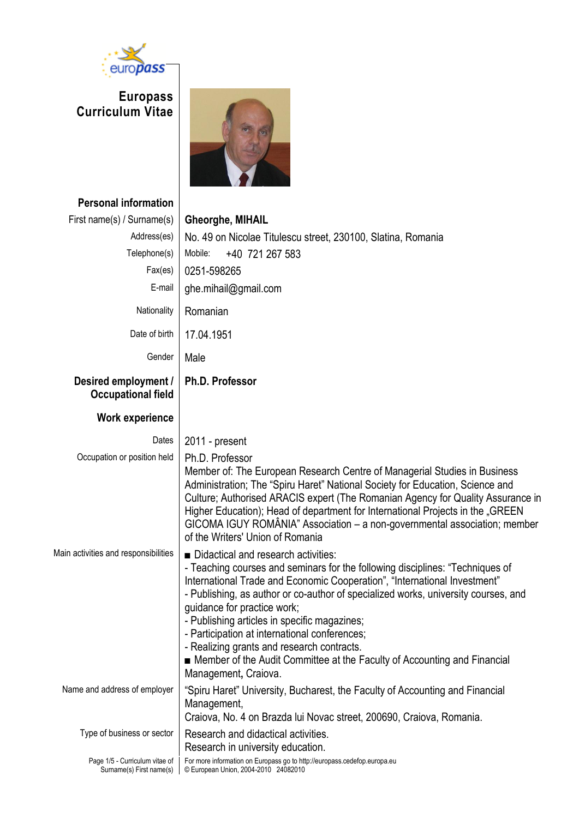

**Europass Curriculum Vitae**



**Personal information** First name(s) / Surname(s) **Gheorghe, MIHAIL**

| $\frac{1}{2}$ in or Hampy $\frac{1}{2}$ of $\frac{1}{2}$ or Hampy $\frac{1}{2}$ | <b>VIICULYLIC, MIILIAIL</b>                                                                                                                                                                                                                                                                                                                                                                                                                                                                                                                                               |
|---------------------------------------------------------------------------------|---------------------------------------------------------------------------------------------------------------------------------------------------------------------------------------------------------------------------------------------------------------------------------------------------------------------------------------------------------------------------------------------------------------------------------------------------------------------------------------------------------------------------------------------------------------------------|
| Address(es)                                                                     | No. 49 on Nicolae Titulescu street, 230100, Slatina, Romania                                                                                                                                                                                                                                                                                                                                                                                                                                                                                                              |
| Telephone(s)                                                                    | Mobile:<br>+40 721 267 583                                                                                                                                                                                                                                                                                                                                                                                                                                                                                                                                                |
| Fax(es)                                                                         | 0251-598265                                                                                                                                                                                                                                                                                                                                                                                                                                                                                                                                                               |
| E-mail                                                                          | ghe.mihail@gmail.com                                                                                                                                                                                                                                                                                                                                                                                                                                                                                                                                                      |
| Nationality                                                                     | Romanian                                                                                                                                                                                                                                                                                                                                                                                                                                                                                                                                                                  |
| Date of birth                                                                   | 17.04.1951                                                                                                                                                                                                                                                                                                                                                                                                                                                                                                                                                                |
| Gender                                                                          | Male                                                                                                                                                                                                                                                                                                                                                                                                                                                                                                                                                                      |
| Desired employment /<br><b>Occupational field</b>                               | <b>Ph.D. Professor</b>                                                                                                                                                                                                                                                                                                                                                                                                                                                                                                                                                    |
| <b>Work experience</b>                                                          |                                                                                                                                                                                                                                                                                                                                                                                                                                                                                                                                                                           |
| Dates                                                                           | 2011 - present                                                                                                                                                                                                                                                                                                                                                                                                                                                                                                                                                            |
| Occupation or position held                                                     | Ph.D. Professor                                                                                                                                                                                                                                                                                                                                                                                                                                                                                                                                                           |
|                                                                                 | Member of: The European Research Centre of Managerial Studies in Business<br>Administration; The "Spiru Haret" National Society for Education, Science and<br>Culture; Authorised ARACIS expert (The Romanian Agency for Quality Assurance in<br>Higher Education); Head of department for International Projects in the "GREEN<br>GICOMA IGUY ROMÂNIA" Association - a non-governmental association; member<br>of the Writers' Union of Romania                                                                                                                          |
| Main activities and responsibilities                                            | Didactical and research activities:<br>- Teaching courses and seminars for the following disciplines: "Techniques of<br>International Trade and Economic Cooperation", "International Investment"<br>- Publishing, as author or co-author of specialized works, university courses, and<br>guidance for practice work;<br>- Publishing articles in specific magazines;<br>- Participation at international conferences;<br>- Realizing grants and research contracts.<br>Member of the Audit Committee at the Faculty of Accounting and Financial<br>Management, Craiova. |
| Name and address of employer                                                    | "Spiru Haret" University, Bucharest, the Faculty of Accounting and Financial<br>Management,<br>Craiova, No. 4 on Brazda lui Novac street, 200690, Craiova, Romania.                                                                                                                                                                                                                                                                                                                                                                                                       |
| Type of business or sector                                                      | Research and didactical activities.<br>Research in university education.                                                                                                                                                                                                                                                                                                                                                                                                                                                                                                  |
| Page 1/5 - Curriculum vitae of<br>Surname(s) First name(s)                      | For more information on Europass go to http://europass.cedefop.europa.eu<br>© European Union, 2004-2010 24082010                                                                                                                                                                                                                                                                                                                                                                                                                                                          |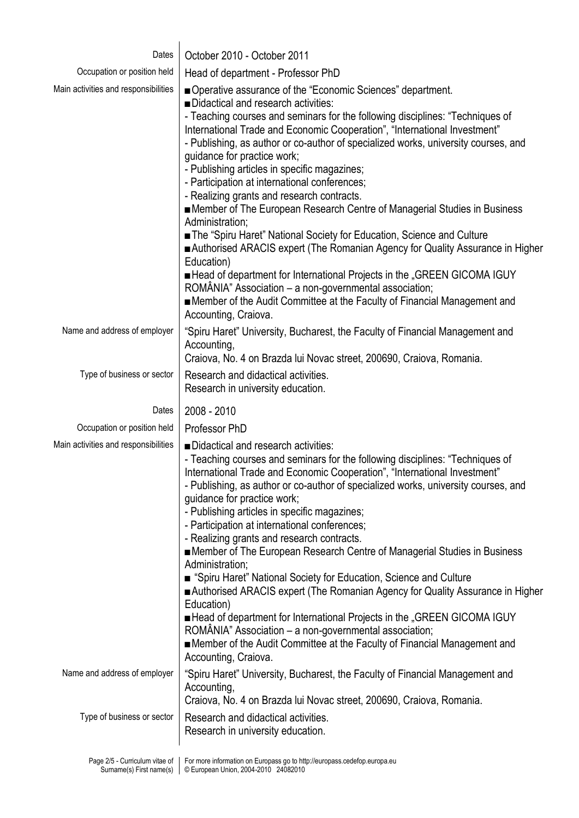| Dates                                                      | October 2010 - October 2011                                                                                                                                                                                                                                                                                                                                                                                                                                                                                                                                                                                                                                                                                                                                                                                                                                                                                                                                                                                                                               |
|------------------------------------------------------------|-----------------------------------------------------------------------------------------------------------------------------------------------------------------------------------------------------------------------------------------------------------------------------------------------------------------------------------------------------------------------------------------------------------------------------------------------------------------------------------------------------------------------------------------------------------------------------------------------------------------------------------------------------------------------------------------------------------------------------------------------------------------------------------------------------------------------------------------------------------------------------------------------------------------------------------------------------------------------------------------------------------------------------------------------------------|
| Occupation or position held                                | Head of department - Professor PhD                                                                                                                                                                                                                                                                                                                                                                                                                                                                                                                                                                                                                                                                                                                                                                                                                                                                                                                                                                                                                        |
| Main activities and responsibilities                       | ■ Operative assurance of the "Economic Sciences" department.<br>Didactical and research activities:<br>- Teaching courses and seminars for the following disciplines: "Techniques of<br>International Trade and Economic Cooperation", "International Investment"<br>- Publishing, as author or co-author of specialized works, university courses, and<br>quidance for practice work;<br>- Publishing articles in specific magazines;<br>- Participation at international conferences;<br>- Realizing grants and research contracts.<br>■ Member of The European Research Centre of Managerial Studies in Business<br>Administration;<br>The "Spiru Haret" National Society for Education, Science and Culture<br>Authorised ARACIS expert (The Romanian Agency for Quality Assurance in Higher<br>Education)<br>■ Head of department for International Projects in the "GREEN GICOMA IGUY<br>ROMÂNIA" Association - a non-governmental association;<br>Member of the Audit Committee at the Faculty of Financial Management and<br>Accounting, Craiova. |
| Name and address of employer                               | "Spiru Haret" University, Bucharest, the Faculty of Financial Management and<br>Accounting,<br>Craiova, No. 4 on Brazda lui Novac street, 200690, Craiova, Romania.                                                                                                                                                                                                                                                                                                                                                                                                                                                                                                                                                                                                                                                                                                                                                                                                                                                                                       |
| Type of business or sector                                 | Research and didactical activities.<br>Research in university education.                                                                                                                                                                                                                                                                                                                                                                                                                                                                                                                                                                                                                                                                                                                                                                                                                                                                                                                                                                                  |
| Dates                                                      | 2008 - 2010                                                                                                                                                                                                                                                                                                                                                                                                                                                                                                                                                                                                                                                                                                                                                                                                                                                                                                                                                                                                                                               |
| Occupation or position held                                | Professor PhD                                                                                                                                                                                                                                                                                                                                                                                                                                                                                                                                                                                                                                                                                                                                                                                                                                                                                                                                                                                                                                             |
| Main activities and responsibilities                       | Didactical and research activities:<br>- Teaching courses and seminars for the following disciplines: "Techniques of<br>International Trade and Economic Cooperation", "International Investment"<br>- Publishing, as author or co-author of specialized works, university courses, and<br>guidance for practice work;<br>- Publishing articles in specific magazines;<br>- Participation at international conferences;<br>- Realizing grants and research contracts.<br>■ Member of The European Research Centre of Managerial Studies in Business<br>Administration;<br>■ "Spiru Haret" National Society for Education, Science and Culture<br>Authorised ARACIS expert (The Romanian Agency for Quality Assurance in Higher<br>Education)<br>■ Head of department for International Projects in the "GREEN GICOMA IGUY<br>ROMÂNIA" Association - a non-governmental association;<br>Member of the Audit Committee at the Faculty of Financial Management and<br>Accounting, Craiova.                                                                   |
| Name and address of employer                               | "Spiru Haret" University, Bucharest, the Faculty of Financial Management and<br>Accounting,<br>Craiova, No. 4 on Brazda lui Novac street, 200690, Craiova, Romania.                                                                                                                                                                                                                                                                                                                                                                                                                                                                                                                                                                                                                                                                                                                                                                                                                                                                                       |
| Type of business or sector                                 | Research and didactical activities.<br>Research in university education.                                                                                                                                                                                                                                                                                                                                                                                                                                                                                                                                                                                                                                                                                                                                                                                                                                                                                                                                                                                  |
| Page 2/5 - Curriculum vitae of<br>Surname(s) First name(s) | For more information on Europass go to http://europass.cedefop.europa.eu<br>© European Union, 2004-2010 24082010                                                                                                                                                                                                                                                                                                                                                                                                                                                                                                                                                                                                                                                                                                                                                                                                                                                                                                                                          |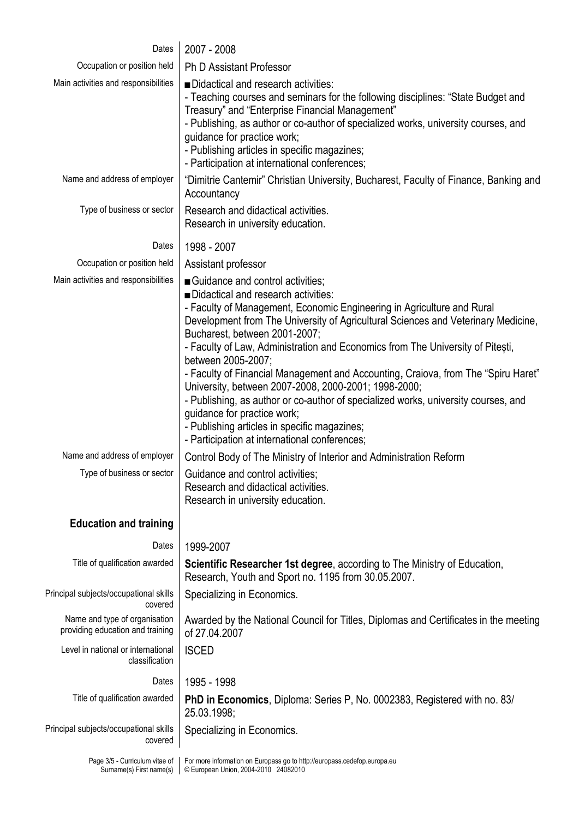| Dates                                                             | 2007 - 2008                                                                                                                                                                                                                                                                                                                                                                                                                                                                                                                                                                                                                                                                                                                                        |
|-------------------------------------------------------------------|----------------------------------------------------------------------------------------------------------------------------------------------------------------------------------------------------------------------------------------------------------------------------------------------------------------------------------------------------------------------------------------------------------------------------------------------------------------------------------------------------------------------------------------------------------------------------------------------------------------------------------------------------------------------------------------------------------------------------------------------------|
| Occupation or position held                                       | <b>Ph D Assistant Professor</b>                                                                                                                                                                                                                                                                                                                                                                                                                                                                                                                                                                                                                                                                                                                    |
| Main activities and responsibilities                              | ■Didactical and research activities:<br>- Teaching courses and seminars for the following disciplines: "State Budget and<br>Treasury" and "Enterprise Financial Management"<br>- Publishing, as author or co-author of specialized works, university courses, and<br>guidance for practice work;<br>- Publishing articles in specific magazines;<br>- Participation at international conferences;                                                                                                                                                                                                                                                                                                                                                  |
| Name and address of employer                                      | "Dimitrie Cantemir" Christian University, Bucharest, Faculty of Finance, Banking and<br>Accountancy                                                                                                                                                                                                                                                                                                                                                                                                                                                                                                                                                                                                                                                |
| Type of business or sector                                        | Research and didactical activities.<br>Research in university education.                                                                                                                                                                                                                                                                                                                                                                                                                                                                                                                                                                                                                                                                           |
| Dates                                                             | 1998 - 2007                                                                                                                                                                                                                                                                                                                                                                                                                                                                                                                                                                                                                                                                                                                                        |
| Occupation or position held                                       | Assistant professor                                                                                                                                                                                                                                                                                                                                                                                                                                                                                                                                                                                                                                                                                                                                |
| Main activities and responsibilities                              | Guidance and control activities;<br>Didactical and research activities:<br>- Faculty of Management, Economic Engineering in Agriculture and Rural<br>Development from The University of Agricultural Sciences and Veterinary Medicine,<br>Bucharest, between 2001-2007;<br>- Faculty of Law, Administration and Economics from The University of Pitesti,<br>between 2005-2007;<br>- Faculty of Financial Management and Accounting, Craiova, from The "Spiru Haret"<br>University, between 2007-2008, 2000-2001; 1998-2000;<br>- Publishing, as author or co-author of specialized works, university courses, and<br>guidance for practice work;<br>- Publishing articles in specific magazines;<br>- Participation at international conferences; |
| Name and address of employer                                      | Control Body of The Ministry of Interior and Administration Reform                                                                                                                                                                                                                                                                                                                                                                                                                                                                                                                                                                                                                                                                                 |
| Type of business or sector                                        | Guidance and control activities;<br>Research and didactical activities.<br>Research in university education.                                                                                                                                                                                                                                                                                                                                                                                                                                                                                                                                                                                                                                       |
| <b>Education and training</b>                                     |                                                                                                                                                                                                                                                                                                                                                                                                                                                                                                                                                                                                                                                                                                                                                    |
| Dates                                                             | 1999-2007                                                                                                                                                                                                                                                                                                                                                                                                                                                                                                                                                                                                                                                                                                                                          |
| Title of qualification awarded                                    | Scientific Researcher 1st degree, according to The Ministry of Education,<br>Research, Youth and Sport no. 1195 from 30.05.2007.                                                                                                                                                                                                                                                                                                                                                                                                                                                                                                                                                                                                                   |
| Principal subjects/occupational skills<br>covered                 | Specializing in Economics.                                                                                                                                                                                                                                                                                                                                                                                                                                                                                                                                                                                                                                                                                                                         |
| Name and type of organisation<br>providing education and training | Awarded by the National Council for Titles, Diplomas and Certificates in the meeting<br>of 27.04.2007                                                                                                                                                                                                                                                                                                                                                                                                                                                                                                                                                                                                                                              |
| Level in national or international<br>classification              | <b>ISCED</b>                                                                                                                                                                                                                                                                                                                                                                                                                                                                                                                                                                                                                                                                                                                                       |
| Dates                                                             | 1995 - 1998                                                                                                                                                                                                                                                                                                                                                                                                                                                                                                                                                                                                                                                                                                                                        |
| Title of qualification awarded                                    | PhD in Economics, Diploma: Series P, No. 0002383, Registered with no. 83/<br>25.03.1998;                                                                                                                                                                                                                                                                                                                                                                                                                                                                                                                                                                                                                                                           |
| Principal subjects/occupational skills<br>covered                 | Specializing in Economics.                                                                                                                                                                                                                                                                                                                                                                                                                                                                                                                                                                                                                                                                                                                         |
| Page 3/5 - Curriculum vitae of<br>Surname(s) First name(s)        | For more information on Europass go to http://europass.cedefop.europa.eu<br>© European Union, 2004-2010 24082010                                                                                                                                                                                                                                                                                                                                                                                                                                                                                                                                                                                                                                   |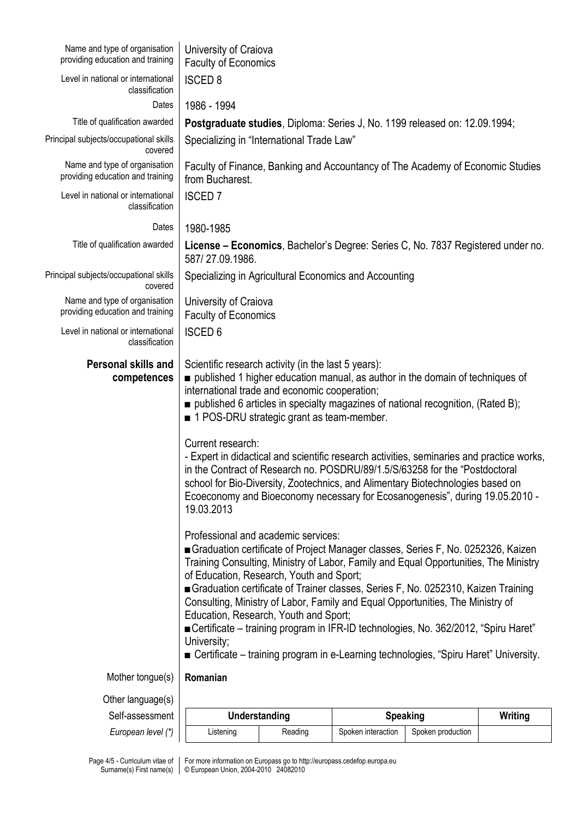| Name and type of organisation<br>providing education and training | University of Craiova<br><b>Faculty of Economics</b>                                                                                                                                                                                                                                                                                                                                                                                                                                                                                                                                                                                                                                                                                                                                                                                                                                                                                                                                                                                                                                                                                                                                                                                                                                                                                                                                                  |                                                                                |                    |                   |         |  |  |  |  |  |
|-------------------------------------------------------------------|-------------------------------------------------------------------------------------------------------------------------------------------------------------------------------------------------------------------------------------------------------------------------------------------------------------------------------------------------------------------------------------------------------------------------------------------------------------------------------------------------------------------------------------------------------------------------------------------------------------------------------------------------------------------------------------------------------------------------------------------------------------------------------------------------------------------------------------------------------------------------------------------------------------------------------------------------------------------------------------------------------------------------------------------------------------------------------------------------------------------------------------------------------------------------------------------------------------------------------------------------------------------------------------------------------------------------------------------------------------------------------------------------------|--------------------------------------------------------------------------------|--------------------|-------------------|---------|--|--|--|--|--|
| Level in national or international<br>classification              | <b>ISCED 8</b>                                                                                                                                                                                                                                                                                                                                                                                                                                                                                                                                                                                                                                                                                                                                                                                                                                                                                                                                                                                                                                                                                                                                                                                                                                                                                                                                                                                        |                                                                                |                    |                   |         |  |  |  |  |  |
| Dates                                                             | 1986 - 1994                                                                                                                                                                                                                                                                                                                                                                                                                                                                                                                                                                                                                                                                                                                                                                                                                                                                                                                                                                                                                                                                                                                                                                                                                                                                                                                                                                                           |                                                                                |                    |                   |         |  |  |  |  |  |
| Title of qualification awarded                                    | Postgraduate studies, Diploma: Series J, No. 1199 released on: 12.09.1994;                                                                                                                                                                                                                                                                                                                                                                                                                                                                                                                                                                                                                                                                                                                                                                                                                                                                                                                                                                                                                                                                                                                                                                                                                                                                                                                            |                                                                                |                    |                   |         |  |  |  |  |  |
| Principal subjects/occupational skills<br>covered                 | Specializing in "International Trade Law"                                                                                                                                                                                                                                                                                                                                                                                                                                                                                                                                                                                                                                                                                                                                                                                                                                                                                                                                                                                                                                                                                                                                                                                                                                                                                                                                                             |                                                                                |                    |                   |         |  |  |  |  |  |
| Name and type of organisation<br>providing education and training | from Bucharest.                                                                                                                                                                                                                                                                                                                                                                                                                                                                                                                                                                                                                                                                                                                                                                                                                                                                                                                                                                                                                                                                                                                                                                                                                                                                                                                                                                                       | Faculty of Finance, Banking and Accountancy of The Academy of Economic Studies |                    |                   |         |  |  |  |  |  |
| Level in national or international<br>classification              | <b>ISCED 7</b>                                                                                                                                                                                                                                                                                                                                                                                                                                                                                                                                                                                                                                                                                                                                                                                                                                                                                                                                                                                                                                                                                                                                                                                                                                                                                                                                                                                        |                                                                                |                    |                   |         |  |  |  |  |  |
| Dates                                                             | 1980-1985                                                                                                                                                                                                                                                                                                                                                                                                                                                                                                                                                                                                                                                                                                                                                                                                                                                                                                                                                                                                                                                                                                                                                                                                                                                                                                                                                                                             |                                                                                |                    |                   |         |  |  |  |  |  |
| Title of qualification awarded                                    | License - Economics, Bachelor's Degree: Series C, No. 7837 Registered under no.<br>587/27.09.1986.                                                                                                                                                                                                                                                                                                                                                                                                                                                                                                                                                                                                                                                                                                                                                                                                                                                                                                                                                                                                                                                                                                                                                                                                                                                                                                    |                                                                                |                    |                   |         |  |  |  |  |  |
| Principal subjects/occupational skills<br>covered                 | Specializing in Agricultural Economics and Accounting                                                                                                                                                                                                                                                                                                                                                                                                                                                                                                                                                                                                                                                                                                                                                                                                                                                                                                                                                                                                                                                                                                                                                                                                                                                                                                                                                 |                                                                                |                    |                   |         |  |  |  |  |  |
| Name and type of organisation<br>providing education and training | University of Craiova<br><b>Faculty of Economics</b>                                                                                                                                                                                                                                                                                                                                                                                                                                                                                                                                                                                                                                                                                                                                                                                                                                                                                                                                                                                                                                                                                                                                                                                                                                                                                                                                                  |                                                                                |                    |                   |         |  |  |  |  |  |
| Level in national or international<br>classification              | <b>ISCED 6</b>                                                                                                                                                                                                                                                                                                                                                                                                                                                                                                                                                                                                                                                                                                                                                                                                                                                                                                                                                                                                                                                                                                                                                                                                                                                                                                                                                                                        |                                                                                |                    |                   |         |  |  |  |  |  |
| <b>Personal skills and</b><br>competences                         | Scientific research activity (in the last 5 years):<br>published 1 higher education manual, as author in the domain of techniques of<br>international trade and economic cooperation;<br>$\blacksquare$ published 6 articles in specialty magazines of national recognition, (Rated B);<br>1 POS-DRU strategic grant as team-member.<br>Current research:<br>- Expert in didactical and scientific research activities, seminaries and practice works,<br>in the Contract of Research no. POSDRU/89/1.5/S/63258 for the "Postdoctoral<br>school for Bio-Diversity, Zootechnics, and Alimentary Biotechnologies based on<br>Ecoeconomy and Bioeconomy necessary for Ecosanogenesis", during 19.05.2010 -<br>19.03.2013<br>Professional and academic services:<br>Graduation certificate of Project Manager classes, Series F, No. 0252326, Kaizen<br>Training Consulting, Ministry of Labor, Family and Equal Opportunities, The Ministry<br>of Education, Research, Youth and Sport;<br>Graduation certificate of Trainer classes, Series F, No. 0252310, Kaizen Training<br>Consulting, Ministry of Labor, Family and Equal Opportunities, The Ministry of<br>Education, Research, Youth and Sport;<br>■ Certificate – training program in IFR-ID technologies, No. 362/2012, "Spiru Haret"<br>University;<br>■ Certificate – training program in e-Learning technologies, "Spiru Haret" University. |                                                                                |                    |                   |         |  |  |  |  |  |
| Mother tongue(s)                                                  | Romanian                                                                                                                                                                                                                                                                                                                                                                                                                                                                                                                                                                                                                                                                                                                                                                                                                                                                                                                                                                                                                                                                                                                                                                                                                                                                                                                                                                                              |                                                                                |                    |                   |         |  |  |  |  |  |
| Other language(s)                                                 |                                                                                                                                                                                                                                                                                                                                                                                                                                                                                                                                                                                                                                                                                                                                                                                                                                                                                                                                                                                                                                                                                                                                                                                                                                                                                                                                                                                                       |                                                                                |                    |                   |         |  |  |  |  |  |
| Self-assessment                                                   | Understanding                                                                                                                                                                                                                                                                                                                                                                                                                                                                                                                                                                                                                                                                                                                                                                                                                                                                                                                                                                                                                                                                                                                                                                                                                                                                                                                                                                                         |                                                                                | <b>Speaking</b>    |                   | Writing |  |  |  |  |  |
| European level (*)                                                | Listening                                                                                                                                                                                                                                                                                                                                                                                                                                                                                                                                                                                                                                                                                                                                                                                                                                                                                                                                                                                                                                                                                                                                                                                                                                                                                                                                                                                             | Reading                                                                        | Spoken interaction | Spoken production |         |  |  |  |  |  |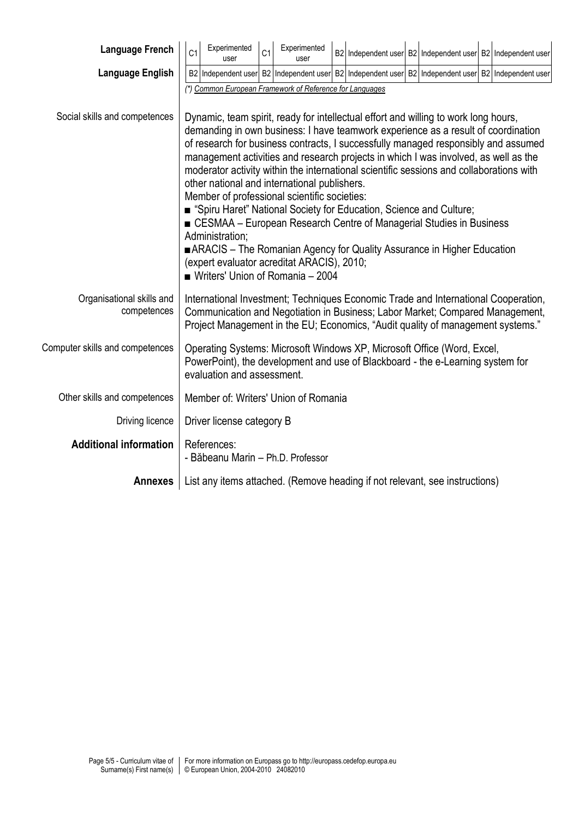| <b>Language French</b>                   | C <sub>1</sub>                                                                                                                                                                                                                                                                                                                                                                                                                                                                                                                                                                                                                                                                                                                                                                                                                                                                                                                                 | Experimented<br>user                                                                                                                                                                    | C <sub>1</sub> | Experimented<br>user                                                                                                                                                                                                                                   |  |  |  |  |  | B2 Independent user B2 Independent user B2 Independent user |
|------------------------------------------|------------------------------------------------------------------------------------------------------------------------------------------------------------------------------------------------------------------------------------------------------------------------------------------------------------------------------------------------------------------------------------------------------------------------------------------------------------------------------------------------------------------------------------------------------------------------------------------------------------------------------------------------------------------------------------------------------------------------------------------------------------------------------------------------------------------------------------------------------------------------------------------------------------------------------------------------|-----------------------------------------------------------------------------------------------------------------------------------------------------------------------------------------|----------------|--------------------------------------------------------------------------------------------------------------------------------------------------------------------------------------------------------------------------------------------------------|--|--|--|--|--|-------------------------------------------------------------|
| Language English                         |                                                                                                                                                                                                                                                                                                                                                                                                                                                                                                                                                                                                                                                                                                                                                                                                                                                                                                                                                |                                                                                                                                                                                         |                | B2 Independent user B2 Independent user B2 Independent user B2 Independent user B2 Independent user                                                                                                                                                    |  |  |  |  |  |                                                             |
| Social skills and competences            | (*) Common European Framework of Reference for Languages<br>Dynamic, team spirit, ready for intellectual effort and willing to work long hours,<br>demanding in own business: I have teamwork experience as a result of coordination<br>of research for business contracts, I successfully managed responsibly and assumed<br>management activities and research projects in which I was involved, as well as the<br>moderator activity within the international scientific sessions and collaborations with<br>other national and international publishers.<br>Member of professional scientific societies:<br>■ "Spiru Haret" National Society for Education, Science and Culture;<br>■ CESMAA – European Research Centre of Managerial Studies in Business<br>Administration;<br>ARACIS – The Romanian Agency for Quality Assurance in Higher Education<br>(expert evaluator acreditat ARACIS), 2010;<br>■ Writers' Union of Romania - 2004 |                                                                                                                                                                                         |                |                                                                                                                                                                                                                                                        |  |  |  |  |  |                                                             |
| Organisational skills and<br>competences |                                                                                                                                                                                                                                                                                                                                                                                                                                                                                                                                                                                                                                                                                                                                                                                                                                                                                                                                                |                                                                                                                                                                                         |                | International Investment; Techniques Economic Trade and International Cooperation,<br>Communication and Negotiation in Business; Labor Market; Compared Management,<br>Project Management in the EU; Economics, "Audit quality of management systems." |  |  |  |  |  |                                                             |
| Computer skills and competences          |                                                                                                                                                                                                                                                                                                                                                                                                                                                                                                                                                                                                                                                                                                                                                                                                                                                                                                                                                | Operating Systems: Microsoft Windows XP, Microsoft Office (Word, Excel,<br>PowerPoint), the development and use of Blackboard - the e-Learning system for<br>evaluation and assessment. |                |                                                                                                                                                                                                                                                        |  |  |  |  |  |                                                             |
| Other skills and competences             |                                                                                                                                                                                                                                                                                                                                                                                                                                                                                                                                                                                                                                                                                                                                                                                                                                                                                                                                                |                                                                                                                                                                                         |                | Member of: Writers' Union of Romania                                                                                                                                                                                                                   |  |  |  |  |  |                                                             |
| Driving licence                          |                                                                                                                                                                                                                                                                                                                                                                                                                                                                                                                                                                                                                                                                                                                                                                                                                                                                                                                                                | Driver license category B                                                                                                                                                               |                |                                                                                                                                                                                                                                                        |  |  |  |  |  |                                                             |
| <b>Additional information</b>            |                                                                                                                                                                                                                                                                                                                                                                                                                                                                                                                                                                                                                                                                                                                                                                                                                                                                                                                                                | References:<br>- Băbeanu Marin - Ph.D. Professor                                                                                                                                        |                |                                                                                                                                                                                                                                                        |  |  |  |  |  |                                                             |
| <b>Annexes</b>                           |                                                                                                                                                                                                                                                                                                                                                                                                                                                                                                                                                                                                                                                                                                                                                                                                                                                                                                                                                |                                                                                                                                                                                         |                | List any items attached. (Remove heading if not relevant, see instructions)                                                                                                                                                                            |  |  |  |  |  |                                                             |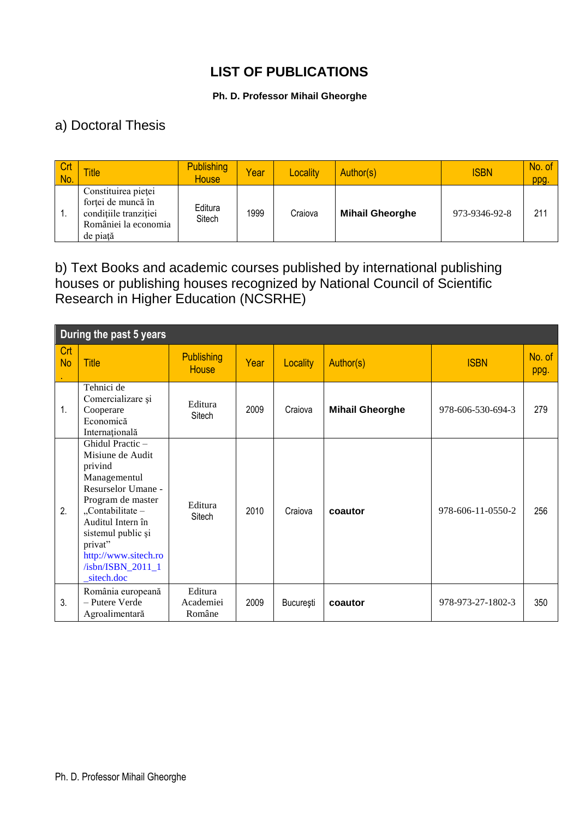## **LIST OF PUBLICATIONS**

#### **Ph. D. Professor Mihail Gheorghe**

### a) Doctoral Thesis

| <b>Crt</b><br>No. | <b>Title</b>                                                                                           | <b>Publishing</b><br><b>House</b> | Year | Locality | Author(s)              | <b>ISBN</b>   | No. of<br>ppg. |
|-------------------|--------------------------------------------------------------------------------------------------------|-----------------------------------|------|----------|------------------------|---------------|----------------|
| и.                | Constituirea pieței<br>forței de muncă în<br>condițiile tranziției<br>României la economia<br>de piată | Editura<br>Sitech                 | 1999 | Craiova  | <b>Mihail Gheorghe</b> | 973-9346-92-8 | 211            |

#### b) Text Books and academic courses published by international publishing houses or publishing houses recognized by National Council of Scientific Research in Higher Education (NCSRHE)

| During the past 5 years |                                                                                                                                                                                                                                                 |                                   |      |           |                        |                   |                |  |  |  |
|-------------------------|-------------------------------------------------------------------------------------------------------------------------------------------------------------------------------------------------------------------------------------------------|-----------------------------------|------|-----------|------------------------|-------------------|----------------|--|--|--|
| Crt<br><b>No</b>        | <b>Title</b>                                                                                                                                                                                                                                    | <b>Publishing</b><br><b>House</b> | Year | Locality  | Author(s)              | <b>ISBN</b>       | No. of<br>ppg. |  |  |  |
| 1.                      | Tehnici de<br>Comercializare și<br>Cooperare<br>Economică<br>Internațională                                                                                                                                                                     | Editura<br>Sitech                 | 2009 | Craiova   | <b>Mihail Gheorghe</b> | 978-606-530-694-3 | 279            |  |  |  |
| 2.                      | Ghidul Practic -<br>Misiune de Audit<br>privind<br>Managementul<br>Resurselor Umane -<br>Program de master<br>"Contabilitate -<br>Auditul Intern în<br>sistemul public și<br>privat"<br>http://www.sitech.ro<br>/isbn/ISBN_2011_1<br>sitech.doc | Editura<br>Sitech                 | 2010 | Craiova   | coautor                | 978-606-11-0550-2 | 256            |  |  |  |
| 3.                      | România europeană<br>- Putere Verde<br>Agroalimentară                                                                                                                                                                                           | Editura<br>Academiei<br>Române    | 2009 | București | coautor                | 978-973-27-1802-3 | 350            |  |  |  |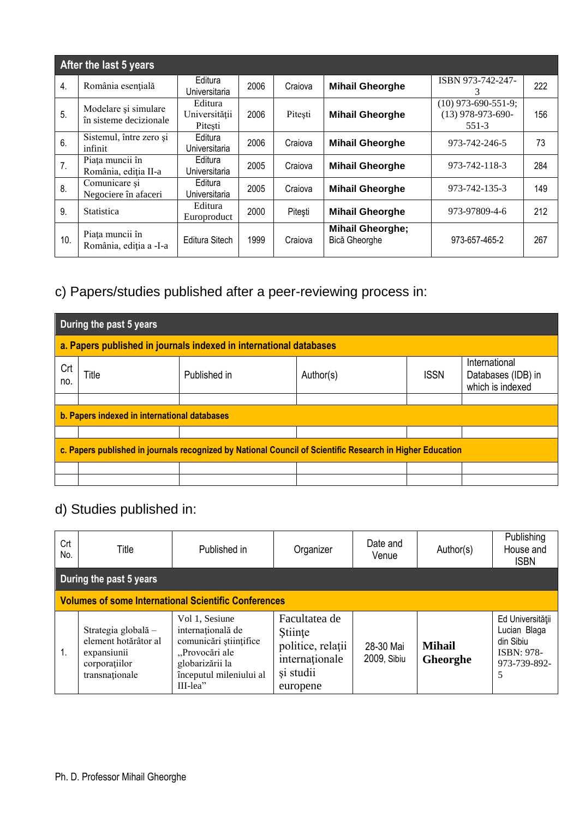|     | After the last 5 years                         |                                     |      |         |                                          |                                                       |     |
|-----|------------------------------------------------|-------------------------------------|------|---------|------------------------------------------|-------------------------------------------------------|-----|
| 4.  | România esențială                              | Editura<br>Universitaria            | 2006 | Craiova | <b>Mihail Gheorghe</b>                   | ISBN 973-742-247-<br>3                                | 222 |
| 5.  | Modelare și simulare<br>în sisteme decizionale | Editura<br>Universității<br>Pitești | 2006 | Pitesti | <b>Mihail Gheorghe</b>                   | $(10)$ 973-690-551-9;<br>$(13)$ 978-973-690-<br>551-3 | 156 |
| 6.  | Sistemul, între zero și<br>infinit             | Editura<br>Universitaria            | 2006 | Craiova | <b>Mihail Gheorghe</b>                   | 973-742-246-5                                         | 73  |
| 7.  | Piața muncii în<br>România, ediția II-a        | Editura<br>Universitaria            | 2005 | Craiova | <b>Mihail Gheorghe</b>                   | 973-742-118-3                                         | 284 |
| 8.  | Comunicare și<br>Negociere în afaceri          | Editura<br>Universitaria            | 2005 | Craiova | <b>Mihail Gheorghe</b>                   | 973-742-135-3                                         | 149 |
| 9.  | Statistica                                     | Editura<br>Europroduct              | 2000 | Pitești | <b>Mihail Gheorghe</b>                   | 973-97809-4-6                                         | 212 |
| 10. | Piața muncii în<br>România, ediția a -I-a      | Editura Sitech                      | 1999 | Craiova | <b>Mihail Gheorghe;</b><br>Bică Gheorghe | 973-657-465-2                                         | 267 |

## c) Papers/studies published after a peer-reviewing process in:

|            | During the past 5 years                                                                                      |  |  |  |  |  |  |  |  |  |  |
|------------|--------------------------------------------------------------------------------------------------------------|--|--|--|--|--|--|--|--|--|--|
|            | a. Papers published in journals indexed in international databases                                           |  |  |  |  |  |  |  |  |  |  |
| Crt<br>no. | International<br>Published in<br><b>ISSN</b><br>Title<br>Author(s)<br>Databases (IDB) in<br>which is indexed |  |  |  |  |  |  |  |  |  |  |
|            | b. Papers indexed in international databases                                                                 |  |  |  |  |  |  |  |  |  |  |
|            |                                                                                                              |  |  |  |  |  |  |  |  |  |  |
|            |                                                                                                              |  |  |  |  |  |  |  |  |  |  |
|            | c. Papers published in journals recognized by National Council of Scientific Research in Higher Education    |  |  |  |  |  |  |  |  |  |  |
|            |                                                                                                              |  |  |  |  |  |  |  |  |  |  |
|            |                                                                                                              |  |  |  |  |  |  |  |  |  |  |

# d) Studies published in:

| Crt<br>No.                                                  | Title                                                                                         | Published in                                                                                                                                 | Organizer                                                                                | Date and<br>Venue        | Author(s)                 | Publishing<br>House and<br><b>ISBN</b>                                                  |  |  |  |  |  |  |
|-------------------------------------------------------------|-----------------------------------------------------------------------------------------------|----------------------------------------------------------------------------------------------------------------------------------------------|------------------------------------------------------------------------------------------|--------------------------|---------------------------|-----------------------------------------------------------------------------------------|--|--|--|--|--|--|
|                                                             | During the past 5 years                                                                       |                                                                                                                                              |                                                                                          |                          |                           |                                                                                         |  |  |  |  |  |  |
| <b>Volumes of some International Scientific Conferences</b> |                                                                                               |                                                                                                                                              |                                                                                          |                          |                           |                                                                                         |  |  |  |  |  |  |
| 1.                                                          | Strategia globală -<br>element hotărâtor al<br>expansiunii<br>corporatiilor<br>transnationale | Vol 1, Sesiune<br>internațională de<br>comunicări științifice<br>"Provocări ale<br>globarizării la<br>începutul mileniului al<br>$III$ -lea" | Facultatea de<br>Stiinte<br>politice, relații<br>internaționale<br>si studii<br>europene | 28-30 Mai<br>2009, Sibiu | <b>Mihail</b><br>Gheorghe | Ed Universității<br>Lucian Blaga<br>din Sibiu<br><b>ISBN: 978-</b><br>973-739-892-<br>5 |  |  |  |  |  |  |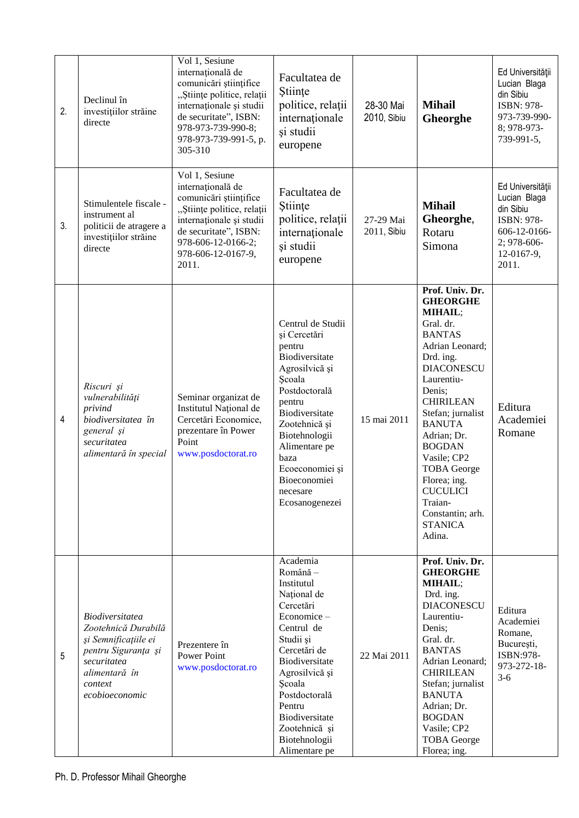| 2.             | Declinul în<br>investițiilor străine<br>directe                                                                                                           | Vol 1, Sesiune<br>internațională de<br>comunicări științifice<br>"Științe politice, relații<br>internaționale și studii<br>de securitate", ISBN:<br>978-973-739-990-8;<br>978-973-739-991-5, p.<br>305-310 | Facultatea de<br>Stiințe<br>politice, relații<br>internaționale<br>și studii<br>europene                                                                                                                                                                              | 28-30 Mai<br>2010, Sibiu | <b>Mihail</b><br>Gheorghe                                                                                                                                                                                                                                                                                                                                                             | Ed Universității<br>Lucian Blaga<br>din Sibiu<br>ISBN: 978-<br>973-739-990-<br>8; 978-973-<br>739-991-5,          |
|----------------|-----------------------------------------------------------------------------------------------------------------------------------------------------------|------------------------------------------------------------------------------------------------------------------------------------------------------------------------------------------------------------|-----------------------------------------------------------------------------------------------------------------------------------------------------------------------------------------------------------------------------------------------------------------------|--------------------------|---------------------------------------------------------------------------------------------------------------------------------------------------------------------------------------------------------------------------------------------------------------------------------------------------------------------------------------------------------------------------------------|-------------------------------------------------------------------------------------------------------------------|
| 3.             | Stimulentele fiscale -<br>instrument al<br>politicii de atragere a<br>investițiilor străine<br>directe                                                    | Vol 1, Sesiune<br>internațională de<br>comunicări științifice<br>"Științe politice, relații<br>internaționale și studii<br>de securitate", ISBN:<br>978-606-12-0166-2;<br>978-606-12-0167-9,<br>2011.      | Facultatea de<br>Stiințe<br>politice, relații<br>internationale<br>și studii<br>europene                                                                                                                                                                              | 27-29 Mai<br>2011, Sibiu | <b>Mihail</b><br>Gheorghe,<br>Rotaru<br>Simona                                                                                                                                                                                                                                                                                                                                        | Ed Universității<br>Lucian Blaga<br>din Sibiu<br>ISBN: 978-<br>606-12-0166-<br>2; 978-606-<br>12-0167-9,<br>2011. |
| $\overline{4}$ | Riscuri și<br>vulnerabilități<br>privind<br>biodiversitatea în<br>general și<br>securitatea<br>alimentară în special                                      | Seminar organizat de<br>Institutul Național de<br>Cercetări Economice,<br>prezentare în Power<br>Point<br>www.posdoctorat.ro                                                                               | Centrul de Studii<br>și Cercetări<br>pentru<br>Biodiversitate<br>Agrosilvică și<br>Scoala<br>Postdoctorală<br>pentru<br>Biodiversitate<br>Zootehnică și<br>Biotehnologii<br>Alimentare pe<br>baza<br>Ecoeconomiei și<br>Bioeconomiei<br>necesare<br>Ecosanogenezei    | 15 mai 2011              | Prof. Univ. Dr.<br><b>GHEORGHE</b><br>MIHAIL;<br>Gral. dr.<br><b>BANTAS</b><br>Adrian Leonard;<br>Drd. ing.<br><b>DIACONESCU</b><br>Laurentiu-<br>Denis;<br><b>CHIRILEAN</b><br>Stefan; jurnalist<br><b>BANUTA</b><br>Adrian; Dr.<br><b>BOGDAN</b><br>Vasile; CP2<br><b>TOBA</b> George<br>Florea; ing.<br><b>CUCULICI</b><br>Traian-<br>Constantin; arh.<br><b>STANICA</b><br>Adina. | Editura<br>Academiei<br>Romane                                                                                    |
| 5              | <b>Biodiversitatea</b><br>Zootehnică Durabilă<br>și Semnificațiile ei<br>pentru Siguranța și<br>securitatea<br>alimentară în<br>context<br>ecobioeconomic | Prezentere în<br><b>Power Point</b><br>www.posdoctorat.ro                                                                                                                                                  | Academia<br>Română -<br>Institutul<br>Național de<br>Cercetări<br>Economice-<br>Centrul de<br>Studii și<br>Cercetări de<br>Biodiversitate<br>Agrosilvică și<br>Scoala<br>Postdoctorală<br>Pentru<br>Biodiversitate<br>Zootehnică și<br>Biotehnologii<br>Alimentare pe | 22 Mai 2011              | Prof. Univ. Dr.<br><b>GHEORGHE</b><br>MIHAIL;<br>Drd. ing.<br><b>DIACONESCU</b><br>Laurentiu-<br>Denis;<br>Gral. dr.<br><b>BANTAS</b><br>Adrian Leonard;<br><b>CHIRILEAN</b><br>Stefan; jurnalist<br><b>BANUTA</b><br>Adrian; Dr.<br><b>BOGDAN</b><br>Vasile; CP2<br><b>TOBA</b> George<br>Florea; ing.                                                                               | Editura<br>Academiei<br>Romane,<br>București,<br>ISBN:978-<br>973-272-18-<br>$3-6$                                |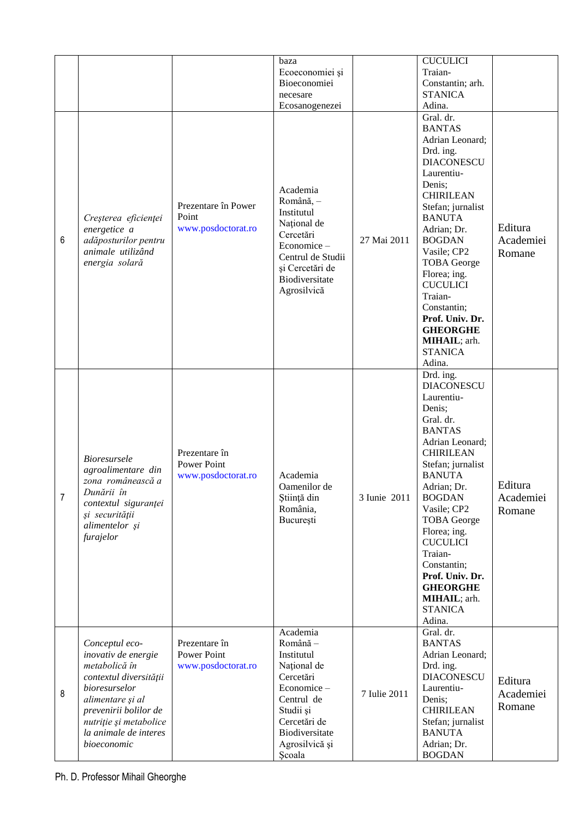|                |                                                                                                                                                                                                                  |                                                           | baza<br>Ecoeconomiei și<br>Bioeconomiei<br>necesare<br>Ecosanogenezei                                                                                                 |              | <b>CUCULICI</b><br>Traian-<br>Constantin; arh.<br><b>STANICA</b><br>Adina.                                                                                                                                                                                                                                                                                                            |                                |
|----------------|------------------------------------------------------------------------------------------------------------------------------------------------------------------------------------------------------------------|-----------------------------------------------------------|-----------------------------------------------------------------------------------------------------------------------------------------------------------------------|--------------|---------------------------------------------------------------------------------------------------------------------------------------------------------------------------------------------------------------------------------------------------------------------------------------------------------------------------------------------------------------------------------------|--------------------------------|
| 6              | Creșterea eficienței<br>energetice a<br>adăposturilor pentru<br>animale utilizând<br>energia solară                                                                                                              | Prezentare în Power<br>Point<br>www.posdoctorat.ro        | Academia<br>Română, -<br>Institutul<br>Național de<br>Cercetări<br>Economice-<br>Centrul de Studii<br>și Cercetări de<br>Biodiversitate<br>Agrosilvică                | 27 Mai 2011  | Gral. dr.<br><b>BANTAS</b><br>Adrian Leonard;<br>Drd. ing.<br><b>DIACONESCU</b><br>Laurentiu-<br>Denis:<br><b>CHIRILEAN</b><br>Stefan; jurnalist<br><b>BANUTA</b><br>Adrian; Dr.<br><b>BOGDAN</b><br>Vasile; CP2<br><b>TOBA</b> George<br>Florea; ing.<br><b>CUCULICI</b><br>Traian-<br>Constantin;<br>Prof. Univ. Dr.<br><b>GHEORGHE</b><br>MIHAIL; arh.<br><b>STANICA</b><br>Adina. | Editura<br>Academiei<br>Romane |
| $\overline{7}$ | <b>Bioresursele</b><br>agroalimentare din<br>zona românească a<br>Dunării în<br>contextul siguranței<br>și securității<br>alimentelor și<br>furajelor                                                            | Prezentare în<br>Power Point<br>www.posdoctorat.ro        | Academia<br>Oamenilor de<br>Știință din<br>România,<br>București                                                                                                      | 3 Iunie 2011 | Drd. ing.<br><b>DIACONESCU</b><br>Laurentiu-<br>Denis;<br>Gral. dr.<br><b>BANTAS</b><br>Adrian Leonard;<br><b>CHIRILEAN</b><br>Stefan; jurnalist<br><b>BANUTA</b><br>Adrian; Dr.<br><b>BOGDAN</b><br>Vasile; CP2<br><b>TOBA</b> George<br>Florea; ing.<br><b>CUCULICI</b><br>Traian-<br>Constantin;<br>Prof. Univ. Dr.<br><b>GHEORGHE</b><br>MIHAIL; arh.<br><b>STANICA</b><br>Adina. | Editura<br>Academiei<br>Romane |
| 8              | Conceptul eco-<br>inovativ de energie<br>metabolică în<br>contextul diversității<br>bioresurselor<br>alimentare și al<br>prevenirii bolilor de<br>nutriție și metabolice<br>la animale de interes<br>bioeconomic | Prezentare în<br><b>Power Point</b><br>www.posdoctorat.ro | Academia<br>Română -<br>Institutul<br>Național de<br>Cercetări<br>Economice-<br>Centrul de<br>Studii și<br>Cercetări de<br>Biodiversitate<br>Agrosilvică și<br>Scoala | 7 Iulie 2011 | Gral. dr.<br><b>BANTAS</b><br>Adrian Leonard;<br>Drd. ing.<br><b>DIACONESCU</b><br>Laurentiu-<br>Denis;<br><b>CHIRILEAN</b><br>Stefan; jurnalist<br><b>BANUTA</b><br>Adrian; Dr.<br><b>BOGDAN</b>                                                                                                                                                                                     | Editura<br>Academiei<br>Romane |